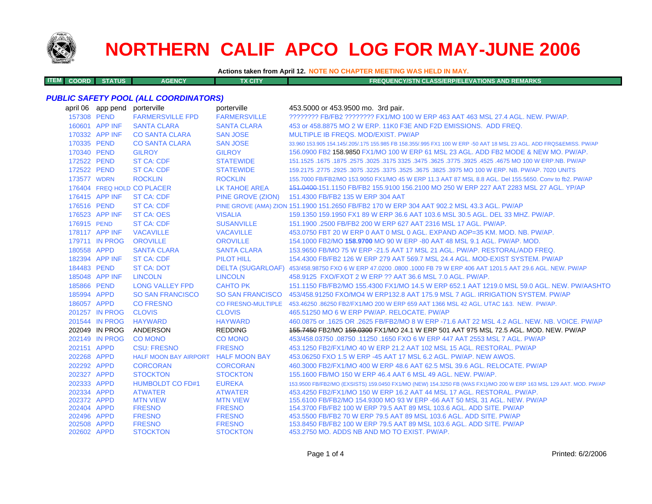

**ITEM**

# **NORTHERN CALIF APCO LOG FOR MAY-JUNE 2006**

**Actions taken from April 12. NOTE NO CHAPTER MEETING WAS HELD IN MAY.**

**COORD STATUS AGENCY TX CITY FREQUENCY/STN CLASS/ERP/ELEVATIONS AND REMARKS**

#### *PUBLIC SAFETY POOL (ALL COORDINATORS)*

|             | april 06 app pend | porterville                         | porterville          | 453.5000 or 453.9500 mo. 3rd pair.                                                                                  |
|-------------|-------------------|-------------------------------------|----------------------|---------------------------------------------------------------------------------------------------------------------|
| 157308 PEND |                   | <b>FARMERSVILLE FPD</b>             | <b>FARMERSVILLE</b>  | ???????? FB/FB2 ??????? FX1/MO 100 W ERP 463 AAT 463 MSL 27.4 AGL. NEW. PW/AP.                                      |
|             | 160601 APP INF    | <b>SANTA CLARA</b>                  | <b>SANTA CLARA</b>   | 453 or 458,8875 MO 2 W ERP, 11K0 F3E AND F2D EMISSIONS. ADD FREQ.                                                   |
|             | 170332 APP INF    | <b>CO SANTA CLARA</b>               | <b>SAN JOSE</b>      | MULTIPLE IB FREQS, MOD/EXIST, PW/AP                                                                                 |
| 170335 PEND |                   | <b>CO SANTA CLARA</b>               | <b>SAN JOSE</b>      | 33.960 153.905 154.145/.205/.175 155.985 FB 158.355/.995 FX1 100 W ERP -50 AAT 18 MSL 23 AGL. ADD FRQS&EMISS. PW/AP |
| 170340 PEND |                   | <b>GILROY</b>                       | <b>GILROY</b>        | 156,0900 FB2 158,9850 FX1/MO 100 W ERP 61 MSL 23 AGL, ADD FB2 MODE & NEW MO, PW/AP.                                 |
| 172522 PEND |                   | <b>ST CA: CDF</b>                   | <b>STATEWIDE</b>     | 151.1525 .1675 .1875 .2575 .3025 .3175 3325 .3475 .3625 .3775 .3925 .4525 .4675 MO 100 W ERP.NB. PW/AP              |
| 172522 PEND |                   | <b>ST CA: CDF</b>                   | <b>STATEWIDE</b>     | 159.2175 .2775 .2925 .3075 .3225 .3675 .3825 .3825 .3975 MO 100 W ERP. NB. PW/AP. 7020 UNITS                        |
| 173577 WDRN |                   | <b>ROCKLIN</b>                      | <b>ROCKLIN</b>       | 155,7000 FB/FB2/MO 153,9050 FX1/MO 45 W ERP 11.3 AAT 87 MSL 8.8 AGL, Del 155,5650, Conv to fb2, PW/AP               |
|             |                   | 176404 FREQ HOLD CO PLACER          | <b>LK TAHOE AREA</b> | 151,0400-151,1150 FB/FB2 155,9100 156,2100 MO 250 W ERP 227 AAT 2283 MSL 27 AGL, YP/AP                              |
|             | 176415 APP INF    | <b>ST CA: CDF</b>                   | PINE GROVE (ZION)    | 151.4300 FB/FB2 135 W ERP 304 AAT                                                                                   |
| 176516 PEND |                   | <b>ST CA: CDF</b>                   |                      | PINE GROVE (AMA) ZION 151.1900 151.2650 FB/FB2 170 W ERP 304 AAT 902.2 MSL 43.3 AGL. PW/AP                          |
|             | 176523 APP INF    | <b>ST CA: OES</b>                   | <b>VISALIA</b>       | 159.1350 159.1950 FX1 89 W ERP 36.6 AAT 103.6 MSL 30.5 AGL. DEL 33 MHZ. PW/AP.                                      |
| 176915 PEND |                   | <b>ST CA: CDF</b>                   | <b>SUSANVILLE</b>    | 151.1900 .2500 FB/FB2 200 W ERP 627 AAT 2316 MSL 17 AGL, PW/AP.                                                     |
|             | 178117 APP INF    | <b>VACAVILLE</b>                    | <b>VACAVILLE</b>     | 453.0750 FBT 20 W ERP 0 AAT 0 MSL 0 AGL, EXPAND AOP=35 KM, MOD, NB, PW/AP,                                          |
|             | 179711 IN PROG    | <b>OROVILLE</b>                     | <b>OROVILLE</b>      | 154.1000 FB2/MO 158.9700 MO 90 W ERP -80 AAT 48 MSL 9.1 AGL, PW/AP, MOD,                                            |
| 180558 APPD |                   | <b>SANTA CLARA</b>                  | <b>SANTA CLARA</b>   | 153,9650 FB/MO 75 W ERP -21.5 AAT 17 MSL 21 AGL, PW/AP, RESTORAL/ADD FREQ.                                          |
|             | 182394 APP INF    | <b>ST CA: CDF</b>                   | <b>PILOT HILL</b>    | 154,4300 FB/FB2 126 W ERP 279 AAT 569.7 MSL 24.4 AGL, MOD-EXIST SYSTEM, PW/AP                                       |
| 184483 PEND |                   | <b>ST CA: DOT</b>                   |                      | DELTA (SUGARLOAF) 453/458.98750 FXO 6 W ERP 47.0200 .0800 .1000 FB 79 W ERP 406 AAT 1201.5 AAT 29.6 AGL. NEW. PW/AP |
|             | 185048 APP INF    | <b>LINCOLN</b>                      | <b>LINCOLN</b>       | 458.9125 FXO/FXOT 2 W ERP ?? AAT 36.6 MSL 7.0 AGL. PW/AP.                                                           |
| 185866 PEND |                   | <b>LONG VALLEY FPD</b>              | <b>CAHTO PK</b>      | 151.1150 FB/FB2/MO 155.4300 FX1/MO 14.5 W ERP 652.1 AAT 1219.0 MSL 59.0 AGL. NEW, PW/AASHTO                         |
| 185994 APPD |                   | <b>SO SAN FRANCISCO</b>             |                      | SO SAN FRANCISCO 453/458.91250 FXO/MO4 W ERP132.8 AAT 175.9 MSL 7 AGL. IRRIGATION SYSTEM. PW/AP                     |
| 186057 APPD |                   | <b>CO FRESNO</b>                    |                      | CO FRESNO-MULTIPLE 453.46250 .86250 FB2/FX1/MO 200 W ERP 659 AAT 1366 MSL 42 AGL. UTAC 1&3. NEW. PW/AP.             |
|             | 201257 IN PROG    | <b>CLOVIS</b>                       | <b>CLOVIS</b>        | 465.51250 MO 6 W ERP PW/AP, RELOCATE, PW/AP                                                                         |
|             | 201544 IN PROG    | <b>HAYWARD</b>                      | <b>HAYWARD</b>       | 460.0875 or .1625 OR .2625 FB/FB2/MO 8 W ERP -71.6 AAT 22 MSL 4.2 AGL. NEW. NB. VOICE. PW/AP                        |
|             | 202049 IN PROG    | ANDERSON                            | <b>REDDING</b>       | 155,7450 FB2/MO 159,0300 FX1/MO 24.1 W ERP 501 AAT 975 MSL 72.5 AGL, MOD, NEW, PW/AP                                |
|             | 202149 IN PROG    | <b>CO MONO</b>                      | <b>CO MONO</b>       | 453/458.03750 .08750 .11250 .1650 FXO 6 W ERP 447 AAT 2553 MSL 7 AGL. PW/AP                                         |
| 202151 APPD |                   | <b>CSU: FRESNO</b>                  | <b>FRESNO</b>        | 453.1250 FB2/FX1/MO 40 W ERP 21.2 AAT 102 MSL 15 AGL, RESTORAL, PW/AP                                               |
| 202268 APPD |                   | HALF MOON BAY AIRPORT HALF MOON BAY |                      | 453,06250 FXO 1.5 W ERP -45 AAT 17 MSL 6.2 AGL, PW/AP, NEW AWOS,                                                    |
| 202292 APPD |                   | <b>CORCORAN</b>                     | <b>CORCORAN</b>      | 460.3000 FB2/FX1/MO 400 W ERP 48.6 AAT 62.5 MSL 39.6 AGL, RELOCATE, PW/AP                                           |
| 202327 APPD |                   | <b>STOCKTON</b>                     | <b>STOCKTON</b>      | 155,1600 FB/MO 150 W ERP 46.4 AAT 6 MSL 49 AGL, NEW, PW/AP.                                                         |
| 202333 APPD |                   | <b>HUMBOLDT CO FD#1</b>             | <b>EUREKA</b>        | 153.9500 FB/FB2/MO (EXSISTS) 159.0450 FX1/MO (NEW) 154.3250 FB (WAS FX1)/MO 200 W ERP 163 MSL 129 AAT. MOD. PW/AP   |
| 202334 APPD |                   | <b>ATWATER</b>                      | <b>ATWATER</b>       | 453.4250 FB2/FX1/MO 150 W ERP 16.2 AAT 44 MSL 17 AGL, RESTORAL, PW/AP.                                              |
| 202372 APPD |                   | <b>MTN VIEW</b>                     | <b>MTN VIEW</b>      | 155,6100 FB/FB2/MO 154,9300 MO 93 W ERP -66 AAT 50 MSL 31 AGL, NEW, PW/AP                                           |
| 202404 APPD |                   | <b>FRESNO</b>                       | <b>FRESNO</b>        | 154,3700 FB/FB2 100 W ERP 79.5 AAT 89 MSL 103.6 AGL, ADD SITE, PW/AP                                                |
| 202496 APPD |                   | <b>FRESNO</b>                       | <b>FRESNO</b>        | 453,5500 FB/FB2 70 W ERP 79.5 AAT 89 MSL 103.6 AGL, ADD SITE, PW/AP                                                 |
| 202508 APPD |                   | <b>FRESNO</b>                       | <b>FRESNO</b>        | 153.8450 FB/FB2 100 W ERP 79.5 AAT 89 MSL 103.6 AGL. ADD SITE, PW/AP                                                |
| 202602 APPD |                   | <b>STOCKTON</b>                     | <b>STOCKTON</b>      | 453.2750 MO, ADDS NB AND MO TO EXIST, PW/AP.                                                                        |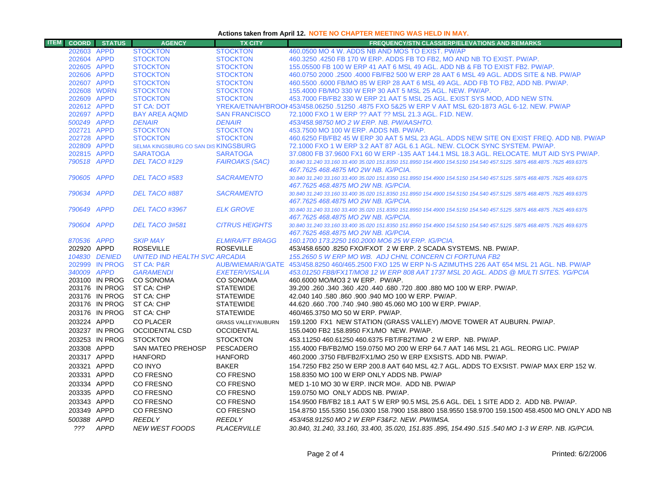### **Actions taken from April 12. NOTE NO CHAPTER MEETING WAS HELD IN MAY.**

| <b>ITEM</b> |                            | <b>COORD</b> STATUS | <b>AGENCY</b>                        | <b>TX CITY</b>                     | <b>FREQUENCY/STN CLASS/ERP/ELEVATIONS AND REMARKS</b>                                                                                                                  |
|-------------|----------------------------|---------------------|--------------------------------------|------------------------------------|------------------------------------------------------------------------------------------------------------------------------------------------------------------------|
|             | 202603 APPD                |                     | <b>STOCKTON</b>                      | <b>STOCKTON</b>                    | 460,0500 MO 4 W. ADDS NB AND MOS TO EXIST. PW/AP                                                                                                                       |
|             | 202604 APPD                |                     | <b>STOCKTON</b>                      | <b>STOCKTON</b>                    | 460.3250 .4250 FB 170 W ERP. ADDS FB TO FB2, MO AND NB TO EXIST. PW/AP.                                                                                                |
|             | 202605 APPD                |                     | <b>STOCKTON</b>                      | <b>STOCKTON</b>                    | 155,05500 FB 100 W ERP 41 AAT 6 MSL 49 AGL, ADD NB & FB TO EXIST FB2, PW/AP,                                                                                           |
|             | 202606 APPD                |                     | <b>STOCKTON</b>                      | <b>STOCKTON</b>                    | 460.0750 2000 .2500 .4000 FB/FB2 500 W ERP 28 AAT 6 MSL 49 AGL. ADDS SITE & NB. PW/AP                                                                                  |
|             | 202607 APPD                |                     | <b>STOCKTON</b>                      | <b>STOCKTON</b>                    | 460,5500,6000 FB/MO 85 W ERP 28 AAT 6 MSL 49 AGL, ADD FB TO FB2, ADD NB, PW/AP,                                                                                        |
|             | 202608 WDRN                |                     | <b>STOCKTON</b>                      | <b>STOCKTON</b>                    | 155,4000 FB/MO 330 W ERP 30 AAT 5 MSL 25 AGL, NEW, PW/AP.                                                                                                              |
|             | 202609 APPD                |                     | <b>STOCKTON</b>                      | <b>STOCKTON</b>                    | 453.7000 FB/FB2 330 W ERP 21 AAT 5 MSL 25 AGL. EXIST SYS MOD, ADD NEW STN.                                                                                             |
|             | 202612 APPD                |                     | <b>ST CA: DOT</b>                    |                                    | YREKA/ETNA/H'BROOI 453/458.06250 .51250 .4875 FXO 5&25 W ERP V AAT MSL 620-1873 AGL 6-12. NEW. PW/AP                                                                   |
|             | 202697 APPD                |                     | <b>BAY AREA AQMD</b>                 | <b>SAN FRANCISCO</b>               | 72.1000 FXO 1 W ERP ?? AAT ?? MSL 21.3 AGL, F1D, NEW.                                                                                                                  |
|             | 500249 APPD                |                     | <b>DENAIR</b>                        | <b>DENAIR</b>                      | 453/458.98750 MO 2 W ERP. NB. PW/AASHTO.                                                                                                                               |
|             | 202721 APPD                |                     | <b>STOCKTON</b><br><b>STOCKTON</b>   | <b>STOCKTON</b>                    | 453.7500 MO 100 W ERP. ADDS NB. PW/AP.                                                                                                                                 |
|             | 202728 APPD<br>202809 APPD |                     | SELMA KINGSBURG CO SAN DIS KINGSBURG | <b>STOCKTON</b>                    | 460.6250 FB/FB2 45 W ERP 30 AAT 5 MSL 23 AGL. ADDS NEW SITE ON EXIST FREQ. ADD NB. PW/AP<br>72.1000 FXO 1 W ERP 3.2 AAT 87 AGL 6.1 AGL. NEW. CLOCK SYNC SYSTEM. PW/AP. |
|             | 202815 APPD                |                     | <b>SARATOGA</b>                      | <b>SARATOGA</b>                    | 37.0800 FB 37.9600 FX1 60 W ERP -135 AAT 144.1 MSL 18.3 AGL. RELOCATE. MUT AID SYS PW/AP.                                                                              |
|             | 790518 APPD                |                     | DEL TACO #129                        | <b>FAIROAKS (SAC)</b>              | 30.840 31.240 33.160 33.400 35.020 151.8350 151.8950 154.4900 154.5150 154.540 457.5125 .5875 468.4875 .7625 469.6375                                                  |
|             |                            |                     |                                      |                                    | 467.7625 468.4875 MO 2W NB, IG/PCIA,                                                                                                                                   |
|             | 790605 APPD                |                     | DEL TACO #583                        | <b>SACRAMENTO</b>                  | 30.840 31.240 33.160 33.400 35.020 151.8350 151.8950 154.4900 154.5150 154.540 457.5125 .5875 468.4875 .7625 469.6375                                                  |
|             |                            |                     |                                      |                                    | 467.7625 468.4875 MO 2W NB. IG/PCIA.                                                                                                                                   |
|             | 790634 APPD                |                     | DEL TACO #887                        | <b>SACRAMENTO</b>                  | 30.840 31.240 33.160 33.400 35.020 151.8350 151.8950 154.4900 154.5150 154.540 457.5125 .5875 468.4875 .7625 469.6375                                                  |
|             |                            |                     |                                      |                                    | 467.7625 468.4875 MO 2W NB. IG/PCIA.                                                                                                                                   |
|             | 790649 APPD                |                     | DEL TACO #3967                       | <b>ELK GROVE</b>                   | 30.840 31.240 33.160 33.400 35.020 151.8350 151.8950 154.4900 154.5150 154.540 457.5125 .5875 468.4875 .7625 469.6375                                                  |
|             |                            |                     |                                      |                                    | 467.7625 468.4875 MO 2W NB. IG/PCIA.                                                                                                                                   |
|             | 790604 APPD                |                     | DEL TACO 3#581                       | <b>CITRUS HEIGHTS</b>              | 30.840 31.240 33.160 33.400 35.020 151.8350 151.8950 154.4900 154.5150 154.540 457.5125 .5875 468.4875 .7625 469.6375                                                  |
|             |                            |                     |                                      |                                    | 467.7625 468.4875 MO 2W NB, IG/PCIA,                                                                                                                                   |
|             | 870536 APPD                |                     | <b>SKIP MAY</b>                      | <b>ELMIRA/FT BRAGG</b>             | 160.1700 173.2250 160.2000 MO6 25 W ERP. IG/PCIA.                                                                                                                      |
|             | 202920 APPD                |                     | <b>ROSEVILLE</b>                     | <b>ROSEVILLE</b>                   | 453/458.6500 .8250 FXO/FXOT 2 W ERP. 2 SCADA SYSTEMS. NB. PW/AP.                                                                                                       |
|             |                            | 104830 DENIED       | UNITED IND HEALTH SVC ARCADIA        |                                    | 155.2650 5 W ERP MO WB. ADJ CHNL CONCERN CI FORTUNA FB2                                                                                                                |
|             |                            | 202999 IN PROG      | ST CA: P&R                           |                                    | AUB/WIEMAR/A'GATE 453/458.8250 460/465.2500 FXO 125 W ERP N-S AZIMUTHS 226 AAT 654 MSL 21 AGL. NB. PW/AP                                                               |
|             | 340009 APPD                | 203100 IN PROG      | <b>GARAMENDI</b><br><b>CO SONOMA</b> | <b>EXETER/VISALIA</b><br>CO SONOMA | 453.01250 FB8/FX1T/MO8 12 W ERP 808 AAT 1737 MSL 20 AGL. ADDS @ MULTI SITES, YG/PCIA<br>460.6000 MO/MO3 2 W ERP. PW/AP.                                                |
|             |                            | 203176 IN PROG      | ST CA: CHP                           | <b>STATEWIDE</b>                   | 39.200 .260 .340 .360 .420 .440 .680 .720 .800 .880 MO 100 W ERP. PW/AP.                                                                                               |
|             |                            | 203176 IN PROG      | ST CA: CHP                           | <b>STATEWIDE</b>                   | 42.040 140 .580 .860 .900 .940 MO 100 W ERP. PW/AP.                                                                                                                    |
|             |                            | 203176 IN PROG      | ST CA: CHP                           | <b>STATEWIDE</b>                   | 44.620 .660 .700 .740 .940 .980 45.060 MO 100 W ERP. PW/AP.                                                                                                            |
|             |                            | 203176 IN PROG      | ST CA: CHP                           | <b>STATEWIDE</b>                   | 460/465.3750 MO 50 W ERP. PW/AP.                                                                                                                                       |
|             | 203224 APPD                |                     | <b>CO PLACER</b>                     | <b>GRASS VALLEY/AUBURN</b>         | 159.1200 FX1 NEW STATION (GRASS VALLEY) /MOVE TOWER AT AUBURN. PW/AP.                                                                                                  |
|             |                            | 203237 IN PROG      | <b>OCCIDENTAL CSD</b>                | <b>OCCIDENTAL</b>                  | 155.0400 FB2 158.8950 FX1/MO NEW. PW/AP.                                                                                                                               |
|             |                            | 203253 IN PROG      | <b>STOCKTON</b>                      | <b>STOCKTON</b>                    | 453.11250 460.61250 460.6375 FBT/FB2T/MO 2 W ERP. NB. PW/AP.                                                                                                           |
|             |                            |                     |                                      |                                    |                                                                                                                                                                        |
|             | 203308 APPD                |                     | SAN MATEO PREHOSP                    | PESCADERO                          | 155.4000 FB/FB2/MO 159.0750 MO 200 W ERP 64.7 AAT 146 MSL 21 AGL. REORG LIC. PW/AP                                                                                     |
|             | 203317 APPD                |                     | <b>HANFORD</b>                       | <b>HANFORD</b>                     | 460.2000 .3750 FB/FB2/FX1/MO 250 W ERP EXSISTS. ADD NB. PW/AP.                                                                                                         |
|             | 203321 APPD                |                     | CO INYO                              | <b>BAKER</b>                       | 154.7250 FB2 250 W ERP 200.8 AAT 640 MSL 42.7 AGL. ADDS TO EXSIST. PW/AP MAX ERP 152 W.                                                                                |
|             | 203331 APPD                |                     | CO FRESNO                            | CO FRESNO                          | 158,8350 MO 100 W ERP ONLY ADDS NB, PW/AP                                                                                                                              |
|             | 203334 APPD                |                     | CO FRESNO                            | CO FRESNO                          | MED 1-10 MO 30 W ERP. INCR MO#. ADD NB. PW/AP                                                                                                                          |
|             | 203335 APPD                |                     | CO FRESNO                            | CO FRESNO                          | 159.0750 MO ONLY ADDS NB. PW/AP.                                                                                                                                       |
|             | 203343 APPD                |                     | CO FRESNO                            | CO FRESNO                          | 154.9500 FB/FB2 18.1 AAT 5 W ERP 90.5 MSL 25.6 AGL. DEL 1 SITE ADD 2. ADD NB. PW/AP.                                                                                   |
|             | 203349 APPD                |                     | CO FRESNO                            | CO FRESNO                          | 154.8750 155.5350 156.0300 158.7900 158.8800 158.9550 158.9700 159.1500 458.4500 MO ONLY ADD NB                                                                        |
|             | 500388 APPD                |                     | <b>REEDLY</b>                        | <b>REEDLY</b>                      | 453/458.91250 MO 2 W ERP F3&F2, NEW, PW/IMSA,                                                                                                                          |
|             |                            | ??? APPD            | <b>NEW WEST FOODS</b>                | <b>PLACERVILLE</b>                 | 30.840, 31.240, 33.160, 33.400, 35.020, 151.835 .895, 154.490 .515 .540 MO 1-3 W ERP. NB. IG/PCIA.                                                                     |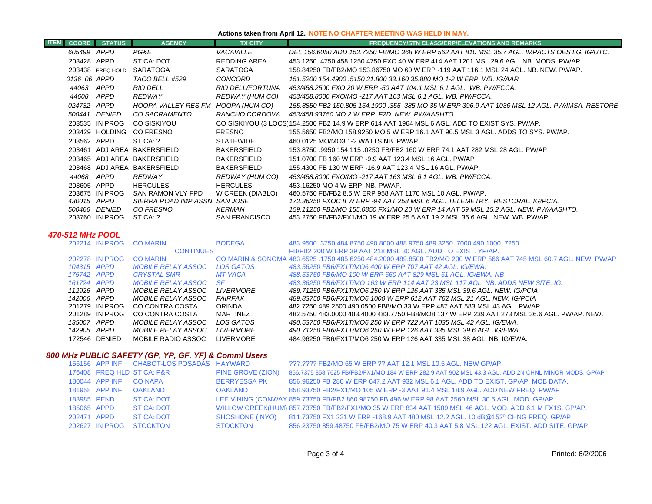### **Actions taken from April 12. NOTE NO CHAPTER MEETING WAS HELD IN MAY.**

| <b>COORD</b> | <b>STATUS</b>    | <b>AGENCY</b>                 | <b>TX CITY</b>       | <b>FREQUENCY/STN CLASS/ERP/ELEVATIONS AND REMARKS</b>                                           |
|--------------|------------------|-------------------------------|----------------------|-------------------------------------------------------------------------------------------------|
| 605499 APPD  |                  | PG&E                          | VACAVILLE            | DEL 156.6050 ADD 153.7250 FB/MO 368 W ERP 562 AAT 810 MSL 35.7 AGL. IMPACTS OES LG. IG/UTC.     |
| 203428 APPD  |                  | ST CA: DOT                    | REDDING AREA         | 453.1250 .4750 458.1250 4750 FXO 40 W ERP 414 AAT 1201 MSL 29.6 AGL. NB. MODS. PW/AP.           |
|              | 203438 FREQ HOLD | SARATOGA                      | <b>SARATOGA</b>      | 158.84250 FB/FB2/MO 153.86750 MO 60 W ERP -119 AAT 116.1 MSL 24 AGL. NB. NEW. PW/AP.            |
| 0136 06 APPD |                  | TACO BELL #529                | CONCORD              | 151.5200 154.4900 .5150 31.800 33.160 35.880 MO 1-2 W ERP. WB. IG/AAR                           |
| 44063        | APPD             | <b>RIO DELL</b>               | RIO DELL/FORTUNA     | 453/458.2500 FXO 20 W ERP -50 AAT 104.1 MSL 6.1 AGL. WB. PW/FCCA.                               |
| 44608        | APPD             | REDWAY                        | REDWAY (HUM CO)      | 453/458.8000 FXO/MO -217 AAT 163 MSL 6.1 AGL. WB. PW/FCCA.                                      |
| 024732       | APPD             | HOOPA VALLEY RES FM           | HOOPA (HUM CO)       | 155.3850 FB2 150.805 154.1900 .355 .385 MO 35 W ERP 396.9 AAT 1036 MSL 12 AGL. PW/IMSA. RESTORE |
| 500441       | <i>DENIED</i>    | CO SACRAMENTO                 | RANCHO CORDOVA       | 453/458.93750 MO 2 W ERP. F2D. NEW. PW/AASHTO.                                                  |
|              | 203535 IN PROG   | CO SISKIYOU                   |                      | CO SISKIYOU (3 LOCS 154.2500 FB2 14.9 W ERP 614 AAT 1964 MSL 6 AGL. ADD TO EXIST SYS. PW/AP.    |
|              | 203429 HOLDING   | CO FRESNO                     | <b>FRESNO</b>        | 155.5650 FB2/MO 158.9250 MO 5 W ERP 16.1 AAT 90.5 MSL 3 AGL. ADDS TO SYS. PW/AP.                |
| 203562 APPD  |                  | ST CA: ?                      | <b>STATEWIDE</b>     | 460.0125 MO/MO3 1-2 WATTS NB. PW/AP.                                                            |
| 203461       |                  | ADJ AREA BAKERSFIELD          | <b>BAKERSFIELD</b>   | 153.8750 .9950 154.115 .0250 FB/FB2 160 W ERP 74.1 AAT 282 MSL 28 AGL. PW/AP                    |
|              |                  | 203465 ADJ AREA BAKERSFIELD   | <b>BAKERSFIELD</b>   | 151.0700 FB 160 W ERP -9.9 AAT 123.4 MSL 16 AGL. PW/AP                                          |
|              |                  | 203468 ADJ AREA BAKERSFIELD   | <b>BAKERSFIELD</b>   | 155.4300 FB 130 W ERP -16.9 AAT 123.4 MSL 16 AGL. PW/AP.                                        |
| 44068        | APPD             | REDWAY                        | REDWAY (HUM CO)      | 453/458.8000 FXO/MO -217 AAT 163 MSL 6.1 AGL. WB. PW/FCCA.                                      |
| 203605 APPD  |                  | <b>HERCULES</b>               | <b>HERCULES</b>      | 453.16250 MO 4 W ERP. NB. PW/AP.                                                                |
|              | 203675 IN PROG   | SAN RAMON VLY FPD             | W CREEK (DIABLO)     | 460.5750 FB/FB2 8.5 W ERP 958 AAT 1170 MSL 10 AGL. PW/AP.                                       |
| 430015       | APPD             | SIERRA ROAD IMP ASSN SAN JOSE |                      | 173.36250 FXOC 8 W ERP -94 AAT 258 MSL 6 AGL. TELEMETRY.  RESTORAL. IG/PCIA.                    |
| 500466       | <i>DENIED</i>    | CO FRESNO                     | <b>KERMAN</b>        | 159.11250 FB2/MO 155.0850 FX1/MO 20 W ERP 14 AAT 59 MSL 15.2 AGL. NEW. PW/AASHTO.               |
|              | 203760 IN PROG   | ST CA: ?                      | <b>SAN FRANCISCO</b> | 453.2750 FB/FB2/FX1/MO 19 W ERP 25.6 AAT 19.2 MSL 36.6 AGL. NEW. WB. PW/AP.                     |

#### *470-512 MHz POOL*

| 202214      |                | <b>CO MARIN</b>           | <b>BODEGA</b>     | 483.9500 .7250 484.8750 490.8000 488.9750 489.3250 .7000 490.1000 .3750 484.8750 490.8000 489.9750 4              |
|-------------|----------------|---------------------------|-------------------|-------------------------------------------------------------------------------------------------------------------|
|             |                | <b>CONTINUES</b>          |                   | FB/FB2 200 W ERP 39 AAT 218 MSL 30 AGL, ADD TO EXIST, YP/AP.                                                      |
|             | 202278 IN PROG | <b>CO MARIN</b>           |                   | CO MARIN & SONOMA 483,6525 .1750 485,6250 484,2000 489,8500 FB2/MO 200 W ERP 566 AAT 745 MSL 60.7 AGL, NEW, PW/AP |
| 104315 APPD |                | <b>MOBILE RELAY ASSOC</b> | LOS GATOS         | 483.56250 FB6/FX1T/MO6 400 W ERP 707 AAT 42 AGL. IG/EWA.                                                          |
| 175742 APPD |                | <b>CRYSTAL SMR</b>        | <b>MT VACA</b>    | 488.53750 FB6/MO 100 W ERP 660 AAT 829 MSL 61 AGL. IG/EWA. NB                                                     |
| 161724 APPD |                | <i>MOBILE RELAY ASSOC</i> | - SF              | 483.36250 FB6/FX1T/MO 163 W ERP 114 AAT 23 MSL 117 AGL. NB. ADDS NEW SITE. IG.                                    |
| 112926 APPD |                | MOBILE RELAY ASSOC        | <b>LIVERMORE</b>  | 489.71250 FB6/FX1T/MO6 250 W ERP 126 AAT 335 MSL 39.6 AGL. NEW. IG/PCIA                                           |
| 142006 APPD |                | <i>MOBILE RELAY ASSOC</i> | <b>FAIRFAX</b>    | 489.83750 FB6/FX1T/MO6 1000 W ERP 612 AAT 762 MSL 21 AGL. NEW. IG/PCIA                                            |
|             | 201279 IN PROG | CO CONTRA COSTA           | <b>ORINDA</b>     | 482.7250 489.2500 490.0500 FB8/MO 33 W ERP 487 AAT 583 MSL 43 AGL, PW/AP                                          |
|             | 201289 IN PROG | CO CONTRA COSTA           | MARTINFZ          | 482,5750 483,0000 483,4000 483,7750 FB8/MO8 137 W ERP 239 AAT 273 MSL 36.6 AGL. PW/AP, NEW.                       |
| 135007 APPD |                | <i>MOBILE RELAY ASSOC</i> | LOS GATOS         | 490.53750 FB6/FX1T/MO6 250 W ERP 722 AAT 1035 MSL 42 AGL. IG/EWA.                                                 |
| 142905 APPD |                | <i>MOBILE RELAY ASSOC</i> | <i>I IVERMORE</i> | 490.71250 FB6/FX1T/MO6 250 W ERP 126 AAT 335 MSL 39.6 AGL. IG/EWA.                                                |
|             | 172546 DENIED  | MOBILE RADIO ASSOC        | <b>I IVERMORE</b> | 484.96250 FB6/FX1T/MO6 250 W ERP 126 AAT 335 MSL 38 AGL, NB, IG/EWA,                                              |
|             |                |                           |                   |                                                                                                                   |

## *800 MHz PUBLIC SAFETY (GP, YP, GF, YF) & Comml Users*

|             |                | 156156 APP INF CHABOT-LOS POSADAS HAYWARD |                     | ???.???? FB2/MO 65 W ERP ?? AAT 12.1 MSL 10.5 AGL. NEW GP/AP.                                           |
|-------------|----------------|-------------------------------------------|---------------------|---------------------------------------------------------------------------------------------------------|
|             |                | 176408 FREQ HLD ST CA: P&R                | PINE GROVE (ZION)   | 856.7375 858.7625 FB/FB2/FX1/MO 184 W ERP 282.9 AAT 902 MSL 43.3 AGL. ADD 2N CHNL MINOR MODS. GP/AP     |
|             | 180044 APP INF | <b>CO NAPA</b>                            | <b>BERRYESSA PK</b> | 856,96250 FB 280 W ERP 647.2 AAT 932 MSL 6.1 AGL, ADD TO EXIST, GP/AP, MOB DATA,                        |
|             | 181958 APP INF | OAKLAND                                   | <b>OAKLAND</b>      | 858.93750 FB2/FX1/MO 105 W ERP -3 AAT 91.4 MSL 18.9 AGL, ADD NEW FREQ, PW/AP                            |
| 183985 PEND |                | <b>ST CA: DOT</b>                         |                     | LEE VINING (CONWAY 859.73750 FB/FB2 860.98750 FB 496 W ERP 98 AAT 2560 MSL 30.5 AGL. MOD. GP/AP.        |
| 185065 APPD |                | <b>ST CA: DOT</b>                         |                     | WILLOW CREEK(HUM) 857.73750 FB/FB2/FX1/MO 35 W ERP 834 AAT 1509 MSL 46 AGL. MOD. ADD 6.1 M FX1S. GP/AP. |
| 202471 APPD |                | <b>ST CA: DOT</b>                         |                     | SHOSHONE (INYO) 811.73750 FX1 221 W ERP -168.9 AAT 480 MSL 12.2 AGL. 10 dB@152º CHNG FREQ. GP/AP        |
|             |                | 202627 IN PROG STOCKTON                   | <b>STOCKTON</b>     | 856.23750 859.48750 FB/FB2/MO 75 W ERP 40.3 AAT 5.8 MSL 122 AGL, EXIST, ADD SITE, GP/AP                 |
|             |                |                                           |                     |                                                                                                         |